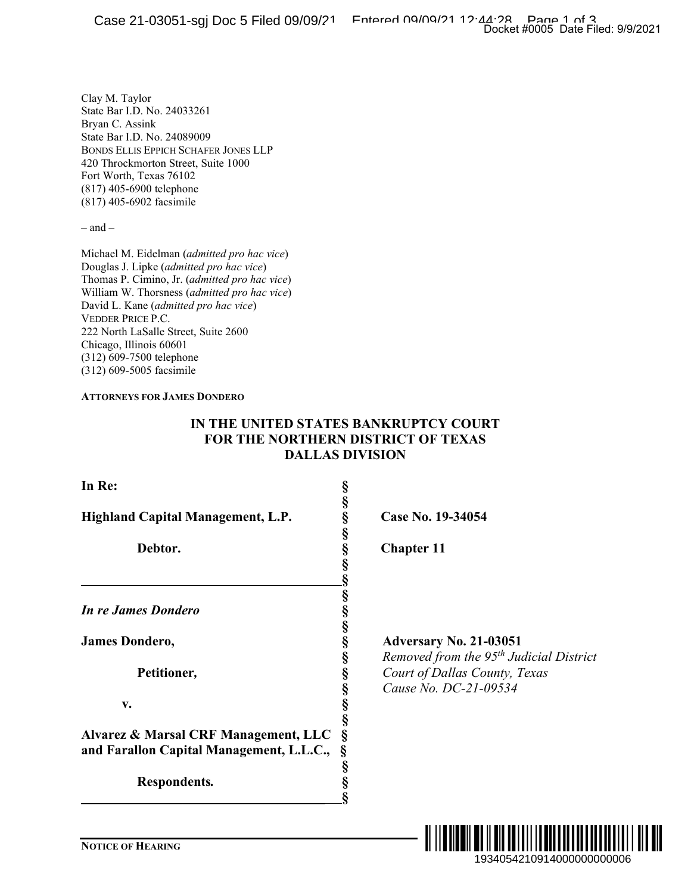Clay M. Taylor State Bar I.D. No. 24033261 Bryan C. Assink State Bar I.D. No. 24089009 BONDS ELLIS EPPICH SCHAFER JONES LLP 420 Throckmorton Street, Suite 1000 Fort Worth, Texas 76102 (817) 405-6900 telephone (817) 405-6902 facsimile

– and –

Michael M. Eidelman (*admitted pro hac vice*) Douglas J. Lipke (*admitted pro hac vice*) Thomas P. Cimino, Jr. (*admitted pro hac vice*) William W. Thorsness (*admitted pro hac vice*) David L. Kane (*admitted pro hac vice*) VEDDER PRICE P.C. 222 North LaSalle Street, Suite 2600 Chicago, Illinois 60601 (312) 609-7500 telephone (312) 609-5005 facsimile

#### **ATTORNEYS FOR JAMES DONDERO**

## **IN THE UNITED STATES BANKRUPTCY COURT FOR THE NORTHERN DISTRICT OF TEXAS DALLAS DIVISION**

| In Re:                                   | SS SS SS SS SS SS SS          |
|------------------------------------------|-------------------------------|
|                                          |                               |
| Highland Capital Management, L.P.        |                               |
|                                          |                               |
| Debtor.                                  |                               |
|                                          |                               |
|                                          |                               |
|                                          |                               |
| In re James Dondero                      |                               |
|                                          | တို့ တက္ေတာ့ တက္ေတာ့ တာ တာ တာ |
| James Dondero,                           |                               |
|                                          |                               |
| Petitioner,                              |                               |
|                                          |                               |
|                                          |                               |
| v.                                       |                               |
|                                          |                               |
| Alvarez & Marsal CRF Management, LLC     |                               |
| and Farallon Capital Management, L.L.C., |                               |
|                                          |                               |
| <b>Respondents.</b>                      | §<br>§                        |

\_\_\_\_\_\_\_\_\_\_\_\_\_\_\_\_\_\_\_\_\_\_\_\_\_\_\_\_\_\_\_\_\_\_\_\_ **§**

**Highland Capital Management, L.P. § Case No. 19-34054**

**Chapter 11** 

**James Dondero, § Adversary No. 21-03051** 

**§** *Removed from the 95th Judicial District* **Petitioner***,* **§** *Court of Dallas County, Texas*  **§** *Cause No. DC-21-09534*

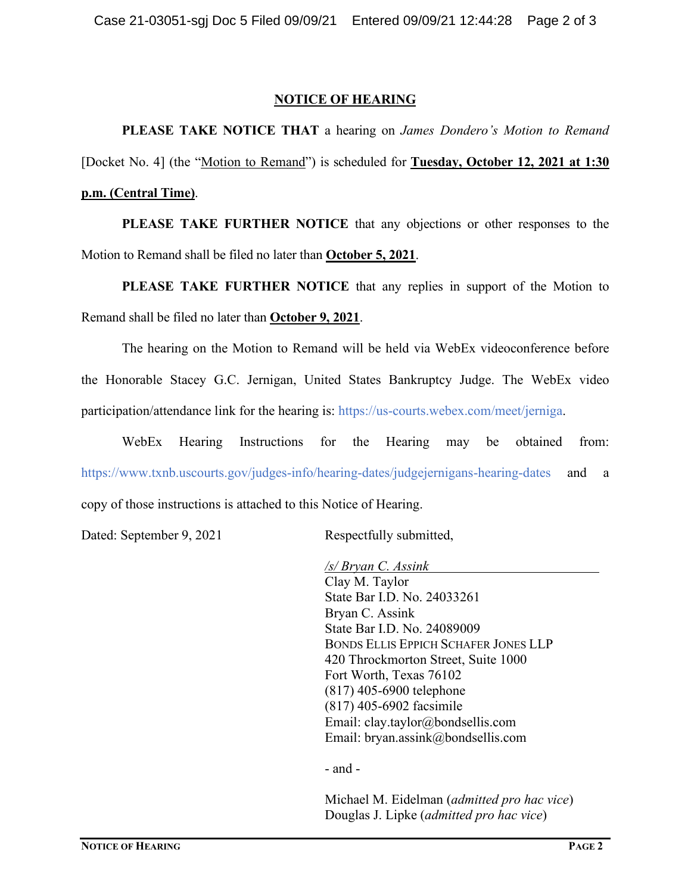#### **NOTICE OF HEARING**

**PLEASE TAKE NOTICE THAT** a hearing on *James Dondero's Motion to Remand* [Docket No. 4] (the "Motion to Remand") is scheduled for **Tuesday, October 12, 2021 at 1:30 p.m. (Central Time)**.

**PLEASE TAKE FURTHER NOTICE** that any objections or other responses to the Motion to Remand shall be filed no later than **October 5, 2021**.

**PLEASE TAKE FURTHER NOTICE** that any replies in support of the Motion to Remand shall be filed no later than **October 9, 2021**.

The hearing on the Motion to Remand will be held via WebEx videoconference before the Honorable Stacey G.C. Jernigan, United States Bankruptcy Judge. The WebEx video participation/attendance link for the hearing is: https://us-courts.webex.com/meet/jerniga.

WebEx Hearing Instructions for the Hearing may be obtained from: https://www.txnb.uscourts.gov/judges-info/hearing-dates/judgejernigans-hearing-dates and a copy of those instructions is attached to this Notice of Hearing.

Dated: September 9, 2021 Respectfully submitted,

*/s/ Bryan C. Assink* Clay M. Taylor State Bar I.D. No. 24033261 Bryan C. Assink State Bar I.D. No. 24089009 BONDS ELLIS EPPICH SCHAFER JONES LLP 420 Throckmorton Street, Suite 1000 Fort Worth, Texas 76102 (817) 405-6900 telephone (817) 405-6902 facsimile Email: clay.taylor@bondsellis.com Email: bryan.assink@bondsellis.com

- and -

Michael M. Eidelman (*admitted pro hac vice*) Douglas J. Lipke (*admitted pro hac vice*)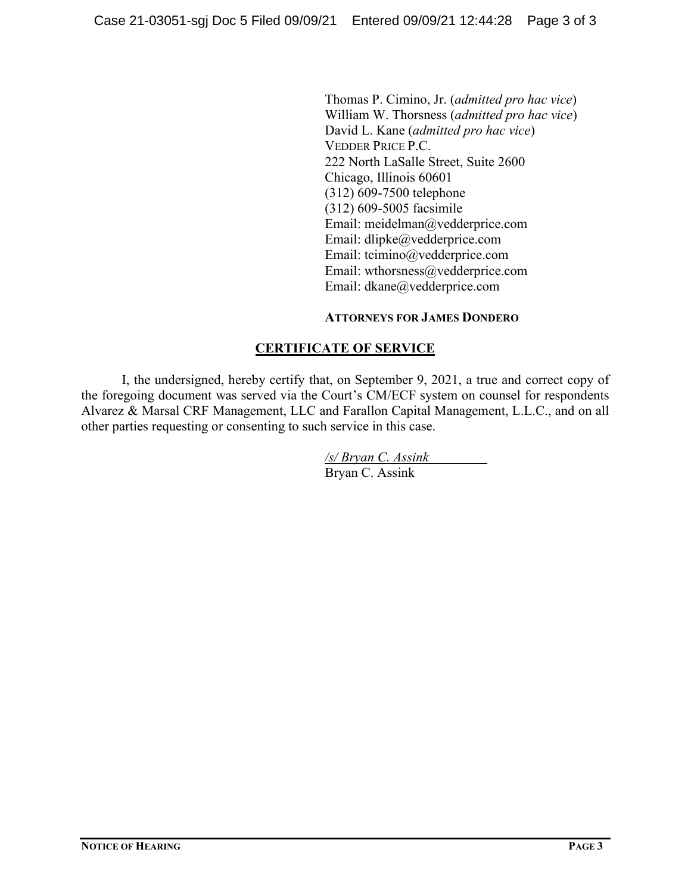Thomas P. Cimino, Jr. (*admitted pro hac vice*) William W. Thorsness (*admitted pro hac vice*) David L. Kane (*admitted pro hac vice*) VEDDER PRICE P.C. 222 North LaSalle Street, Suite 2600 Chicago, Illinois 60601 (312) 609-7500 telephone (312) 609-5005 facsimile Email: meidelman@vedderprice.com Email: dlipke@vedderprice.com Email: tcimino@vedderprice.com Email: wthorsness@vedderprice.com Email: dkane@vedderprice.com

#### **ATTORNEYS FOR JAMES DONDERO**

## **CERTIFICATE OF SERVICE**

I, the undersigned, hereby certify that, on September 9, 2021, a true and correct copy of the foregoing document was served via the Court's CM/ECF system on counsel for respondents Alvarez & Marsal CRF Management, LLC and Farallon Capital Management, L.L.C., and on all other parties requesting or consenting to such service in this case.

> */s/ Bryan C. Assink* Bryan C. Assink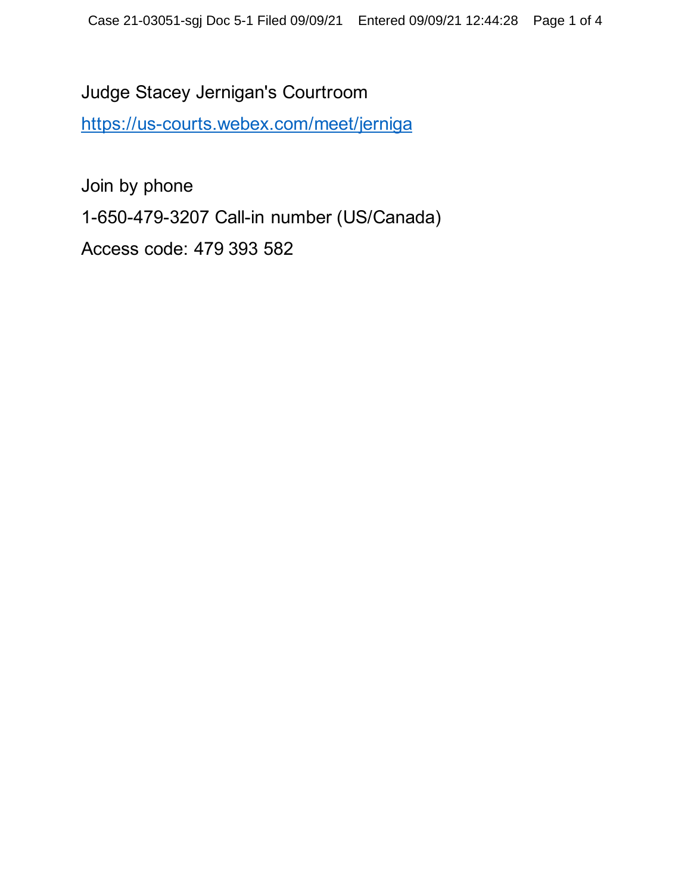Judge Stacey Jernigan's Courtroom <https://us-courts.webex.com/meet/jerniga>

Join by phone 1-650-479-3207 Call-in number (US/Canada) Access code: 479 393 582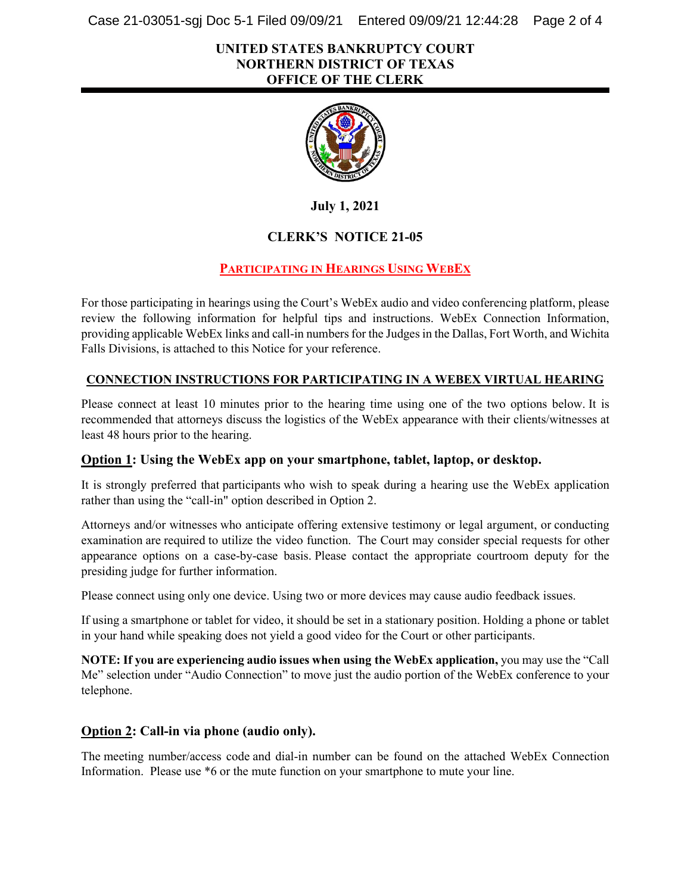Case 21-03051-sgj Doc 5-1 Filed 09/09/21 Entered 09/09/21 12:44:28 Page 2 of 4

#### **UNITED STATES BANKRUPTCY COURT NORTHERN DISTRICT OF TEXAS OFFICE OF THE CLERK**



**July 1, 2021**

## **CLERK'S NOTICE 21-05**

## **PARTICIPATING IN HEARINGS USING WEBEX**

For those participating in hearings using the Court's WebEx audio and video conferencing platform, please review the following information for helpful tips and instructions. WebEx Connection Information, providing applicable WebEx links and call-in numbersfor the Judges in the Dallas, Fort Worth, and Wichita Falls Divisions, is attached to this Notice for your reference.

#### **CONNECTION INSTRUCTIONS FOR PARTICIPATING IN A WEBEX VIRTUAL HEARING**

Please connect at least 10 minutes prior to the hearing time using one of the two options below. It is recommended that attorneys discuss the logistics of the WebEx appearance with their clients/witnesses at least 48 hours prior to the hearing.

#### **Option 1: Using the WebEx app on your smartphone, tablet, laptop, or desktop.**

It is strongly preferred that participants who wish to speak during a hearing use the WebEx application rather than using the "call-in" option described in Option 2.

Attorneys and/or witnesses who anticipate offering extensive testimony or legal argument, or conducting examination are required to utilize the video function. The Court may consider special requests for other appearance options on a case-by-case basis. Please contact the appropriate courtroom deputy for the presiding judge for further information.

Please connect using only one device. Using two or more devices may cause audio feedback issues.

If using a smartphone or tablet for video, it should be set in a stationary position. Holding a phone or tablet in your hand while speaking does not yield a good video for the Court or other participants.

**NOTE: If you are experiencing audio issues when using the WebEx application,** you may use the "Call Me" selection under "Audio Connection" to move just the audio portion of the WebEx conference to your telephone.

## **Option 2: Call-in via phone (audio only).**

The meeting number/access code and dial-in number can be found on the attached WebEx Connection Information. Please use \*6 or the mute function on your smartphone to mute your line.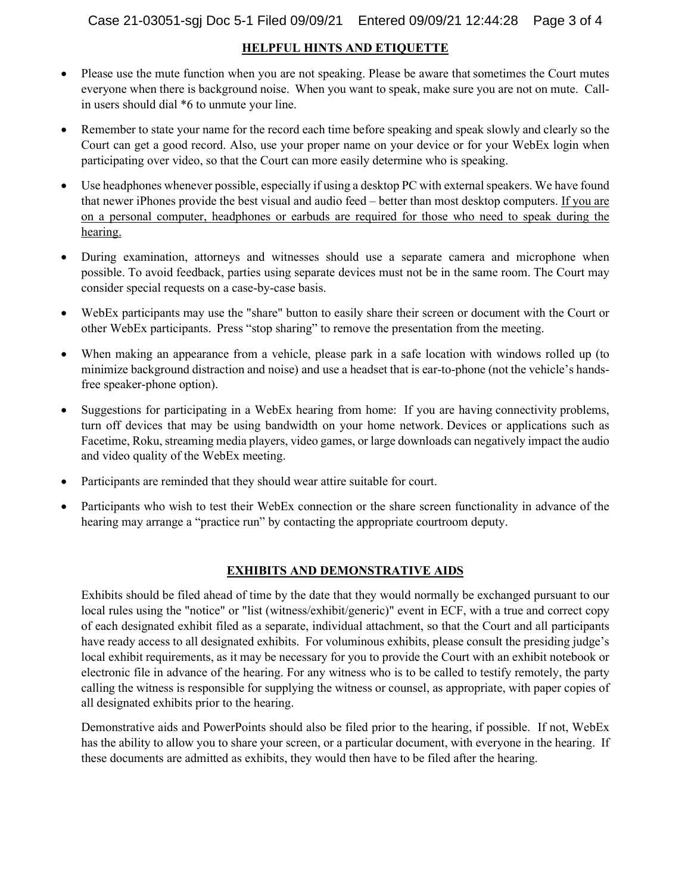#### **HELPFUL HINTS AND ETIQUETTE**

- Please use the mute function when you are not speaking. Please be aware that sometimes the Court mutes everyone when there is background noise.  When you want to speak, make sure you are not on mute. Callin users should dial \*6 to unmute your line.
- Remember to state your name for the record each time before speaking and speak slowly and clearly so the Court can get a good record. Also, use your proper name on your device or for your WebEx login when participating over video, so that the Court can more easily determine who is speaking.
- Use headphones whenever possible, especially if using a desktop PC with external speakers. We have found that newer iPhones provide the best visual and audio feed – better than most desktop computers. If you are on a personal computer, headphones or earbuds are required for those who need to speak during the hearing.
- During examination, attorneys and witnesses should use a separate camera and microphone when possible. To avoid feedback, parties using separate devices must not be in the same room. The Court may consider special requests on a case-by-case basis.
- WebEx participants may use the "share" button to easily share their screen or document with the Court or other WebEx participants.  Press "stop sharing" to remove the presentation from the meeting.
- When making an appearance from a vehicle, please park in a safe location with windows rolled up (to minimize background distraction and noise) and use a headset that is ear-to-phone (not the vehicle's handsfree speaker-phone option).
- Suggestions for participating in a WebEx hearing from home: If you are having connectivity problems, turn off devices that may be using bandwidth on your home network. Devices or applications such as Facetime, Roku, streaming media players, video games, or large downloads can negatively impact the audio and video quality of the WebEx meeting.
- Participants are reminded that they should wear attire suitable for court.
- Participants who wish to test their WebEx connection or the share screen functionality in advance of the hearing may arrange a "practice run" by contacting the appropriate courtroom deputy.

#### **EXHIBITS AND DEMONSTRATIVE AIDS**

Exhibits should be filed ahead of time by the date that they would normally be exchanged pursuant to our local rules using the "notice" or "list (witness/exhibit/generic)" event in ECF, with a true and correct copy of each designated exhibit filed as a separate, individual attachment, so that the Court and all participants have ready access to all designated exhibits. For voluminous exhibits, please consult the presiding judge's local exhibit requirements, as it may be necessary for you to provide the Court with an exhibit notebook or electronic file in advance of the hearing. For any witness who is to be called to testify remotely, the party calling the witness is responsible for supplying the witness or counsel, as appropriate, with paper copies of all designated exhibits prior to the hearing.

Demonstrative aids and PowerPoints should also be filed prior to the hearing, if possible. If not, WebEx has the ability to allow you to share your screen, or a particular document, with everyone in the hearing. If these documents are admitted as exhibits, they would then have to be filed after the hearing.